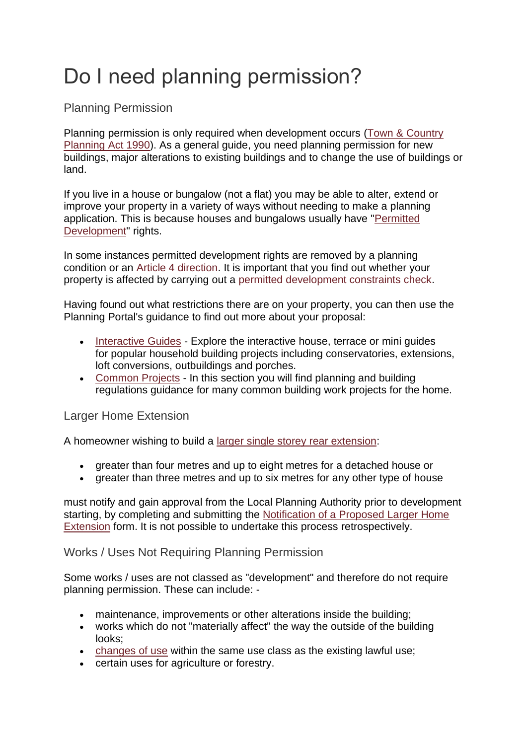## Do I need planning permission?

## Planning Permission

Planning permission is only required when development occurs [\(Town & Country](http://www.legislation.gov.uk/ukpga/1990/8/section/55)  [Planning Act 1990\)](http://www.legislation.gov.uk/ukpga/1990/8/section/55). As a general guide, you need planning permission for new buildings, major alterations to existing buildings and to change the use of buildings or land.

If you live in a house or bungalow (not a flat) you may be able to alter, extend or improve your property in a variety of ways without needing to make a planning application. This is because houses and bungalows usually have ["Permitted](https://www.planningportal.co.uk/info/200187/your_responsibilities/37/planning_permission/2)  [Development"](https://www.planningportal.co.uk/info/200187/your_responsibilities/37/planning_permission/2) rights.

In some instances permitted development rights are removed by a planning condition or an [Article 4 direction.](https://www.kettering.gov.uk/info/20056/conservation_and_heritage/18/article_4_directions) It is important that you find out whether your property is affected by carrying out a [permitted development constraints check.](https://www.kettering.gov.uk/forms/form/297/en/permitted_development_constraints_check_and_building_regulations_enquiry_form)

Having found out what restrictions there are on your property, you can then use the Planning Portal's guidance to find out more about your proposal:

- [Interactive Guides](https://interactive.planningportal.co.uk/) Explore the interactive house, terrace or mini quides for popular household building projects including conservatories, extensions, loft conversions, outbuildings and porches.
- [Common Projects](https://www.planningportal.co.uk/info/200130/common_projects) In this section you will find planning and building regulations guidance for many common building work projects for the home.

## Larger Home Extension

A homeowner wishing to build a [larger single storey rear extension:](https://www.planningportal.co.uk/info/200130/common_projects/17/extensions/2)

- greater than four metres and up to eight metres for a detached house or
- greater than three metres and up to six metres for any other type of house

must notify and gain approval from the Local Planning Authority prior to development starting, by completing and submitting the [Notification of a Proposed Larger Home](https://ecab.planningportal.co.uk/uploads/1app/forms/notification_of_a_proposed_larger_home_extension.pdf)  [Extension](https://ecab.planningportal.co.uk/uploads/1app/forms/notification_of_a_proposed_larger_home_extension.pdf) form. It is not possible to undertake this process retrospectively.

## Works / Uses Not Requiring Planning Permission

Some works / uses are not classed as "development" and therefore do not require planning permission. These can include: -

- maintenance, improvements or other alterations inside the building;
- works which do not "materially affect" the way the outside of the building looks;
- [changes of use](https://www.planningportal.co.uk/info/200130/common_projects/9/change_of_use) within the same use class as the existing lawful use;
- certain uses for agriculture or forestry.